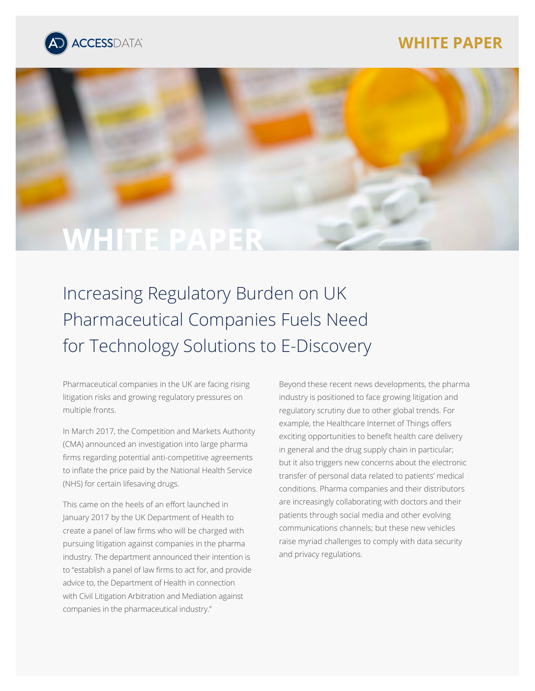# **WHITE PAPER**





# Increasing Regulatory Burden on UK Pharmaceutical Companies Fuels Need for Technology Solutions to E-Discovery

Pharmaceutical companies in the UK are facing rising litigation risks and growing regulatory pressures on multiple fronts.

In March 2017, the Competition and Markets Authority (CMA) announced an investigation into large pharma firms regarding potential anti-competitive agreements to inflate the price paid by the National Health Service (NHS) for certain lifesaving drugs.

This came on the heels of an effort launched in January 2017 by the UK Department of Health to create a panel of law firms who will be charged with pursuing litigation against companies in the pharma industry. The department announced their intention is to "establish a panel of law firms to act for, and provide advice to, the Department of Health in connection with Civil Litigation Arbitration and Mediation against companies in the pharmaceutical industry."

Beyond these recent news developments, the pharma industry is positioned to face growing litigation and regulatory scrutiny due to other global trends. For example, the Healthcare Internet of Things offers exciting opportunities to benefit health care delivery in general and the drug supply chain in particular; but it also triggers new concerns about the electronic transfer of personal data related to patients' medical conditions. Pharma companies and their distributors are increasingly collaborating with doctors and their patients through social media and other evolving communications channels; but these new vehicles raise myriad challenges to comply with data security and privacy regulations.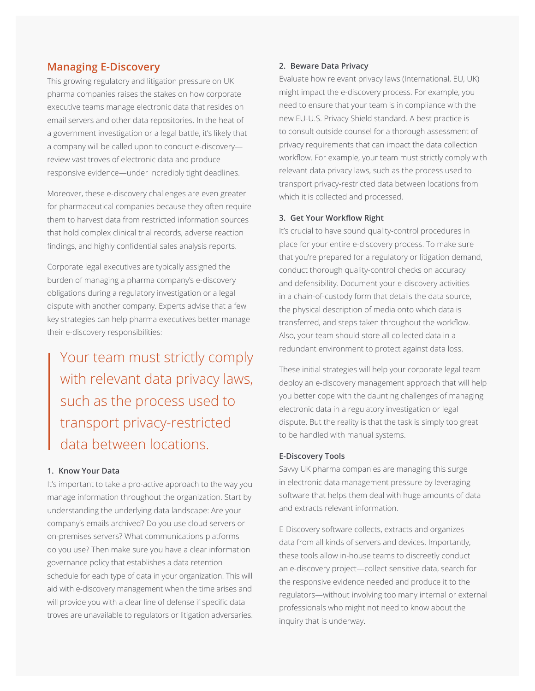### **Managing E-Discovery**

This growing regulatory and litigation pressure on UK pharma companies raises the stakes on how corporate executive teams manage electronic data that resides on email servers and other data repositories. In the heat of a government investigation or a legal battle, it's likely that a company will be called upon to conduct e-discovery review vast troves of electronic data and produce responsive evidence—under incredibly tight deadlines.

Moreover, these e-discovery challenges are even greater for pharmaceutical companies because they often require them to harvest data from restricted information sources that hold complex clinical trial records, adverse reaction findings, and highly confidential sales analysis reports.

Corporate legal executives are typically assigned the burden of managing a pharma company's e-discovery obligations during a regulatory investigation or a legal dispute with another company. Experts advise that a few key strategies can help pharma executives better manage their e-discovery responsibilities:

Your team must strictly comply with relevant data privacy laws, such as the process used to transport privacy-restricted data between locations.

#### **1. Know Your Data**

It's important to take a pro-active approach to the way you manage information throughout the organization. Start by understanding the underlying data landscape: Are your company's emails archived? Do you use cloud servers or on-premises servers? What communications platforms do you use? Then make sure you have a clear information governance policy that establishes a data retention schedule for each type of data in your organization. This will aid with e-discovery management when the time arises and will provide you with a clear line of defense if specific data troves are unavailable to regulators or litigation adversaries.

#### **2. Beware Data Privacy**

Evaluate how relevant privacy laws (International, EU, UK) might impact the e-discovery process. For example, you need to ensure that your team is in compliance with the new EU-U.S. Privacy Shield standard. A best practice is to consult outside counsel for a thorough assessment of privacy requirements that can impact the data collection workflow. For example, your team must strictly comply with relevant data privacy laws, such as the process used to transport privacy-restricted data between locations from which it is collected and processed.

#### **3. Get Your Workflow Right**

It's crucial to have sound quality-control procedures in place for your entire e-discovery process. To make sure that you're prepared for a regulatory or litigation demand, conduct thorough quality-control checks on accuracy and defensibility. Document your e-discovery activities in a chain-of-custody form that details the data source, the physical description of media onto which data is transferred, and steps taken throughout the workflow. Also, your team should store all collected data in a redundant environment to protect against data loss.

These initial strategies will help your corporate legal team deploy an e-discovery management approach that will help you better cope with the daunting challenges of managing electronic data in a regulatory investigation or legal dispute. But the reality is that the task is simply too great to be handled with manual systems.

#### **E-Discovery Tools**

Savvy UK pharma companies are managing this surge in electronic data management pressure by leveraging software that helps them deal with huge amounts of data and extracts relevant information.

E-Discovery software collects, extracts and organizes data from all kinds of servers and devices. Importantly, these tools allow in-house teams to discreetly conduct an e-discovery project—collect sensitive data, search for the responsive evidence needed and produce it to the regulators—without involving too many internal or external professionals who might not need to know about the inquiry that is underway.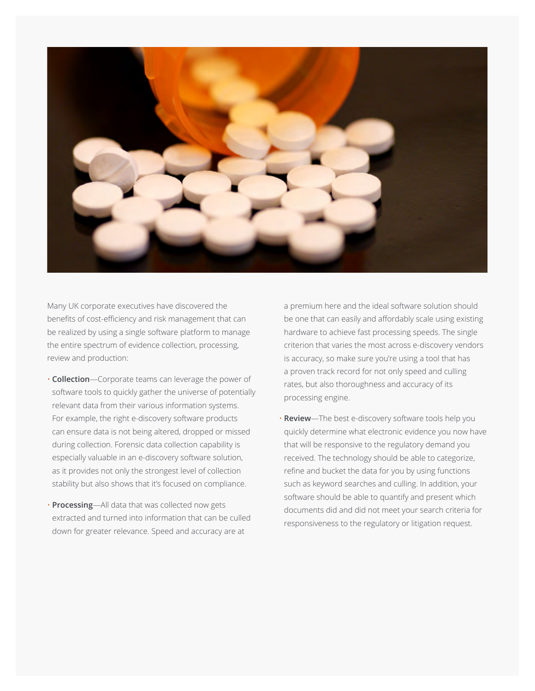

Many UK corporate executives have discovered the benefits of cost-efficiency and risk management that can be realized by using a single software platform to manage the entire spectrum of evidence collection, processing, review and production:

- **Collection**—Corporate teams can leverage the power of software tools to quickly gather the universe of potentially relevant data from their various information systems. For example, the right e-discovery software products can ensure data is not being altered, dropped or missed during collection. Forensic data collection capability is especially valuable in an e-discovery software solution, as it provides not only the strongest level of collection stability but also shows that it's focused on compliance.
- **Processing**—All data that was collected now gets extracted and turned into information that can be culled down for greater relevance. Speed and accuracy are at

a premium here and the ideal software solution should be one that can easily and affordably scale using existing hardware to achieve fast processing speeds. The single criterion that varies the most across e-discovery vendors is accuracy, so make sure you're using a tool that has a proven track record for not only speed and culling rates, but also thoroughness and accuracy of its processing engine.

• **Review**—The best e-discovery software tools help you quickly determine what electronic evidence you now have that will be responsive to the regulatory demand you received. The technology should be able to categorize, refine and bucket the data for you by using functions such as keyword searches and culling. In addition, your software should be able to quantify and present which documents did and did not meet your search criteria for responsiveness to the regulatory or litigation request.